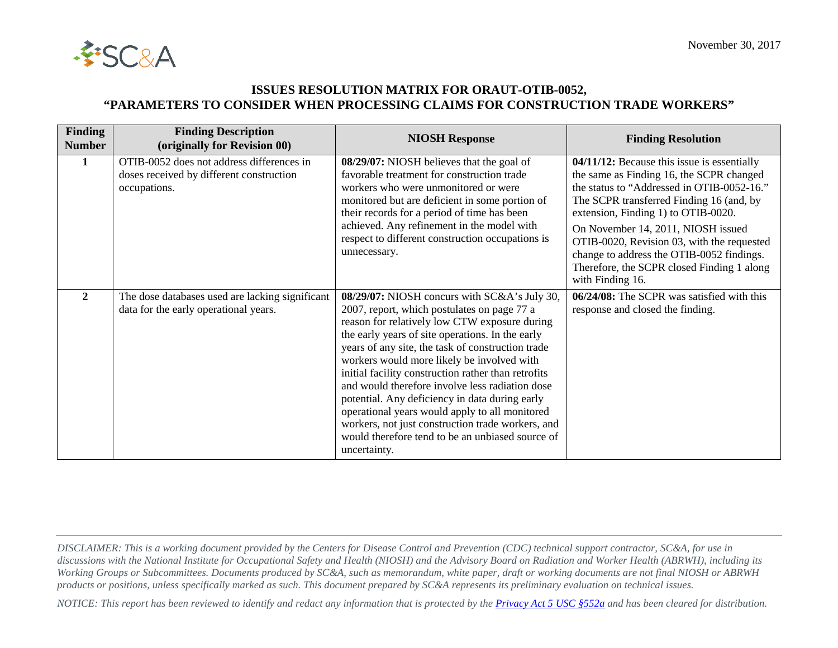

## **ISSUES RESOLUTION MATRIX FOR ORAUT-OTIB-0052, "PARAMETERS TO CONSIDER WHEN PROCESSING CLAIMS FOR CONSTRUCTION TRADE WORKERS"**

| <b>Finding</b><br><b>Number</b> | <b>Finding Description</b><br>(originally for Revision 00)                                            | <b>NIOSH Response</b>                                                                                                                                                                                                                                                                                                                                                                                                                                                                                                                                                                                                                      | <b>Finding Resolution</b>                                                                                                                                                                                                                                                                                                                                                                                                   |
|---------------------------------|-------------------------------------------------------------------------------------------------------|--------------------------------------------------------------------------------------------------------------------------------------------------------------------------------------------------------------------------------------------------------------------------------------------------------------------------------------------------------------------------------------------------------------------------------------------------------------------------------------------------------------------------------------------------------------------------------------------------------------------------------------------|-----------------------------------------------------------------------------------------------------------------------------------------------------------------------------------------------------------------------------------------------------------------------------------------------------------------------------------------------------------------------------------------------------------------------------|
| 1                               | OTIB-0052 does not address differences in<br>doses received by different construction<br>occupations. | 08/29/07: NIOSH believes that the goal of<br>favorable treatment for construction trade<br>workers who were unmonitored or were<br>monitored but are deficient in some portion of<br>their records for a period of time has been<br>achieved. Any refinement in the model with<br>respect to different construction occupations is<br>unnecessary.                                                                                                                                                                                                                                                                                         | 04/11/12: Because this issue is essentially<br>the same as Finding 16, the SCPR changed<br>the status to "Addressed in OTIB-0052-16."<br>The SCPR transferred Finding 16 (and, by<br>extension, Finding 1) to OTIB-0020.<br>On November 14, 2011, NIOSH issued<br>OTIB-0020, Revision 03, with the requested<br>change to address the OTIB-0052 findings.<br>Therefore, the SCPR closed Finding 1 along<br>with Finding 16. |
| $\mathbf{2}$                    | The dose databases used are lacking significant<br>data for the early operational years.              | 08/29/07: NIOSH concurs with SC&A's July 30,<br>2007, report, which postulates on page 77 a<br>reason for relatively low CTW exposure during<br>the early years of site operations. In the early<br>years of any site, the task of construction trade<br>workers would more likely be involved with<br>initial facility construction rather than retrofits<br>and would therefore involve less radiation dose<br>potential. Any deficiency in data during early<br>operational years would apply to all monitored<br>workers, not just construction trade workers, and<br>would therefore tend to be an unbiased source of<br>uncertainty. | 06/24/08: The SCPR was satisfied with this<br>response and closed the finding.                                                                                                                                                                                                                                                                                                                                              |

*DISCLAIMER: This is a working document provided by the Centers for Disease Control and Prevention (CDC) technical support contractor, SC&A, for use in discussions with the National Institute for Occupational Safety and Health (NIOSH) and the Advisory Board on Radiation and Worker Health (ABRWH), including its Working Groups or Subcommittees. Documents produced by SC&A, such as memorandum, white paper, draft or working documents are not final NIOSH or ABRWH products or positions, unless specifically marked as such. This document prepared by SC&A represents its preliminary evaluation on technical issues.*

*NOTICE: This report has been reviewed to identify and redact any information that is protected by the [Privacy Act 5 USC §552a](http://www.justice.gov/opcl/privacy-act-1974) and has been cleared for distribution.*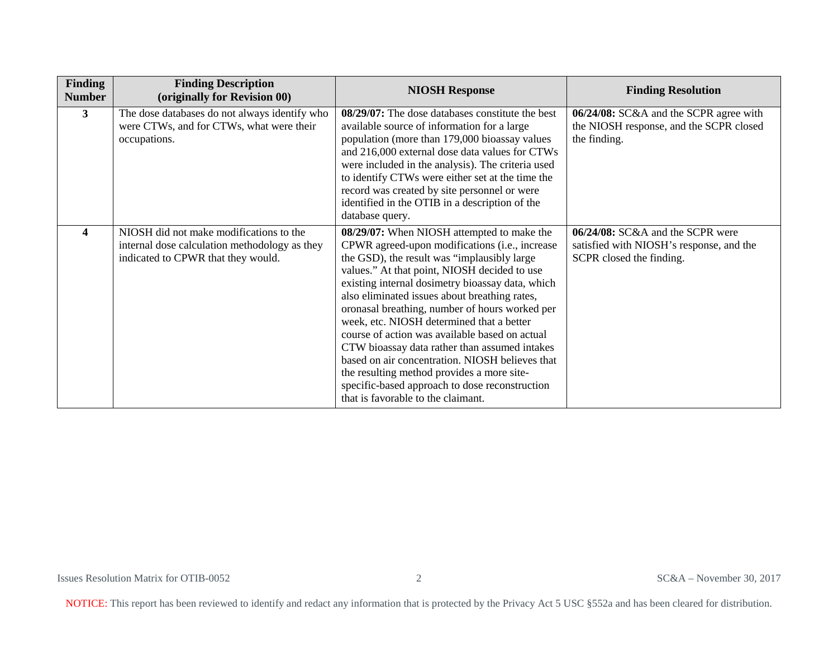| Finding<br><b>Number</b> | <b>Finding Description</b><br>(originally for Revision 00)                                                                     | <b>NIOSH Response</b>                                                                                                                                                                                                                                                                                                                                                                                                                                                                                                                                                                                                                                                                       | <b>Finding Resolution</b>                                                                                |
|--------------------------|--------------------------------------------------------------------------------------------------------------------------------|---------------------------------------------------------------------------------------------------------------------------------------------------------------------------------------------------------------------------------------------------------------------------------------------------------------------------------------------------------------------------------------------------------------------------------------------------------------------------------------------------------------------------------------------------------------------------------------------------------------------------------------------------------------------------------------------|----------------------------------------------------------------------------------------------------------|
| 3                        | The dose databases do not always identify who<br>were CTWs, and for CTWs, what were their<br>occupations.                      | 08/29/07: The dose databases constitute the best<br>available source of information for a large<br>population (more than 179,000 bioassay values<br>and 216,000 external dose data values for CTWs<br>were included in the analysis). The criteria used<br>to identify CTWs were either set at the time the<br>record was created by site personnel or were<br>identified in the OTIB in a description of the<br>database query.                                                                                                                                                                                                                                                            | 06/24/08: SC&A and the SCPR agree with<br>the NIOSH response, and the SCPR closed<br>the finding.        |
| $\overline{\mathbf{4}}$  | NIOSH did not make modifications to the<br>internal dose calculation methodology as they<br>indicated to CPWR that they would. | 08/29/07: When NIOSH attempted to make the<br>CPWR agreed-upon modifications (i.e., increase<br>the GSD), the result was "implausibly large<br>values." At that point, NIOSH decided to use<br>existing internal dosimetry bioassay data, which<br>also eliminated issues about breathing rates,<br>oronasal breathing, number of hours worked per<br>week, etc. NIOSH determined that a better<br>course of action was available based on actual<br>CTW bioassay data rather than assumed intakes<br>based on air concentration. NIOSH believes that<br>the resulting method provides a more site-<br>specific-based approach to dose reconstruction<br>that is favorable to the claimant. | 06/24/08: SC&A and the SCPR were<br>satisfied with NIOSH's response, and the<br>SCPR closed the finding. |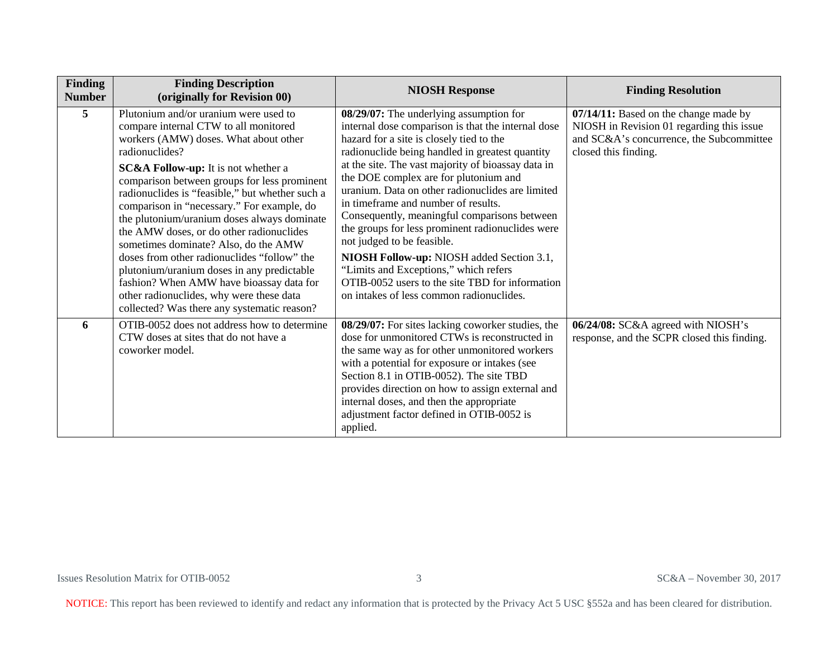| Finding<br><b>Number</b> | <b>Finding Description</b><br>(originally for Revision 00)                                                                                                                                                                                                                                                                                                                                                                                                                                                                                                                                                                                                                                                          | <b>NIOSH Response</b>                                                                                                                                                                                                                                                                                                                                                                                                                                                                                                                                                                                                                                                                                         | <b>Finding Resolution</b>                                                                                                                              |
|--------------------------|---------------------------------------------------------------------------------------------------------------------------------------------------------------------------------------------------------------------------------------------------------------------------------------------------------------------------------------------------------------------------------------------------------------------------------------------------------------------------------------------------------------------------------------------------------------------------------------------------------------------------------------------------------------------------------------------------------------------|---------------------------------------------------------------------------------------------------------------------------------------------------------------------------------------------------------------------------------------------------------------------------------------------------------------------------------------------------------------------------------------------------------------------------------------------------------------------------------------------------------------------------------------------------------------------------------------------------------------------------------------------------------------------------------------------------------------|--------------------------------------------------------------------------------------------------------------------------------------------------------|
| 5                        | Plutonium and/or uranium were used to<br>compare internal CTW to all monitored<br>workers (AMW) doses. What about other<br>radionuclides?<br><b>SC&amp;A Follow-up:</b> It is not whether a<br>comparison between groups for less prominent<br>radionuclides is "feasible," but whether such a<br>comparison in "necessary." For example, do<br>the plutonium/uranium doses always dominate<br>the AMW doses, or do other radionuclides<br>sometimes dominate? Also, do the AMW<br>doses from other radionuclides "follow" the<br>plutonium/uranium doses in any predictable<br>fashion? When AMW have bioassay data for<br>other radionuclides, why were these data<br>collected? Was there any systematic reason? | 08/29/07: The underlying assumption for<br>internal dose comparison is that the internal dose<br>hazard for a site is closely tied to the<br>radionuclide being handled in greatest quantity<br>at the site. The vast majority of bioassay data in<br>the DOE complex are for plutonium and<br>uranium. Data on other radionuclides are limited<br>in timeframe and number of results.<br>Consequently, meaningful comparisons between<br>the groups for less prominent radionuclides were<br>not judged to be feasible.<br>NIOSH Follow-up: NIOSH added Section 3.1,<br>"Limits and Exceptions," which refers<br>OTIB-0052 users to the site TBD for information<br>on intakes of less common radionuclides. | 07/14/11: Based on the change made by<br>NIOSH in Revision 01 regarding this issue<br>and SC&A's concurrence, the Subcommittee<br>closed this finding. |
| 6                        | OTIB-0052 does not address how to determine<br>CTW doses at sites that do not have a<br>coworker model.                                                                                                                                                                                                                                                                                                                                                                                                                                                                                                                                                                                                             | 08/29/07: For sites lacking coworker studies, the<br>dose for unmonitored CTWs is reconstructed in<br>the same way as for other unmonitored workers<br>with a potential for exposure or intakes (see<br>Section 8.1 in OTIB-0052). The site TBD<br>provides direction on how to assign external and<br>internal doses, and then the appropriate<br>adjustment factor defined in OTIB-0052 is<br>applied.                                                                                                                                                                                                                                                                                                      | 06/24/08: SC&A agreed with NIOSH's<br>response, and the SCPR closed this finding.                                                                      |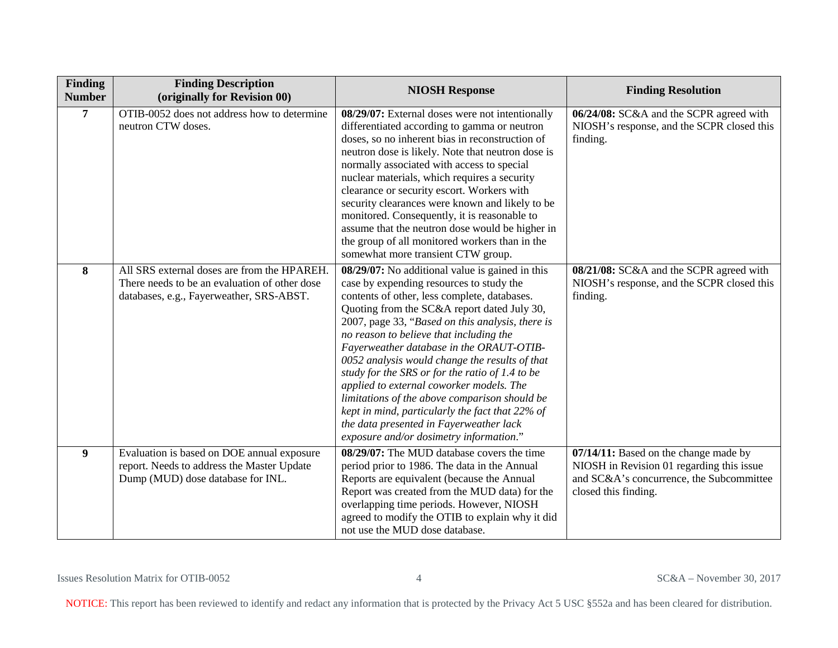| Finding<br><b>Number</b> | <b>Finding Description</b><br>(originally for Revision 00)                                                                               | <b>NIOSH Response</b>                                                                                                                                                                                                                                                                                                                                                                                                                                                                                                                                                                                                                                                            | <b>Finding Resolution</b>                                                                                                                              |
|--------------------------|------------------------------------------------------------------------------------------------------------------------------------------|----------------------------------------------------------------------------------------------------------------------------------------------------------------------------------------------------------------------------------------------------------------------------------------------------------------------------------------------------------------------------------------------------------------------------------------------------------------------------------------------------------------------------------------------------------------------------------------------------------------------------------------------------------------------------------|--------------------------------------------------------------------------------------------------------------------------------------------------------|
| $\overline{7}$           | OTIB-0052 does not address how to determine<br>neutron CTW doses.                                                                        | 08/29/07: External doses were not intentionally<br>differentiated according to gamma or neutron<br>doses, so no inherent bias in reconstruction of<br>neutron dose is likely. Note that neutron dose is<br>normally associated with access to special<br>nuclear materials, which requires a security<br>clearance or security escort. Workers with<br>security clearances were known and likely to be<br>monitored. Consequently, it is reasonable to<br>assume that the neutron dose would be higher in<br>the group of all monitored workers than in the<br>somewhat more transient CTW group.                                                                                | 06/24/08: SC&A and the SCPR agreed with<br>NIOSH's response, and the SCPR closed this<br>finding.                                                      |
| 8                        | All SRS external doses are from the HPAREH.<br>There needs to be an evaluation of other dose<br>databases, e.g., Fayerweather, SRS-ABST. | 08/29/07: No additional value is gained in this<br>case by expending resources to study the<br>contents of other, less complete, databases.<br>Quoting from the SC&A report dated July 30,<br>2007, page 33, "Based on this analysis, there is<br>no reason to believe that including the<br>Fayerweather database in the ORAUT-OTIB-<br>0052 analysis would change the results of that<br>study for the SRS or for the ratio of 1.4 to be<br>applied to external coworker models. The<br>limitations of the above comparison should be<br>kept in mind, particularly the fact that 22% of<br>the data presented in Fayerweather lack<br>exposure and/or dosimetry information." | 08/21/08: SC&A and the SCPR agreed with<br>NIOSH's response, and the SCPR closed this<br>finding.                                                      |
| 9                        | Evaluation is based on DOE annual exposure<br>report. Needs to address the Master Update<br>Dump (MUD) dose database for INL.            | 08/29/07: The MUD database covers the time<br>period prior to 1986. The data in the Annual<br>Reports are equivalent (because the Annual<br>Report was created from the MUD data) for the<br>overlapping time periods. However, NIOSH<br>agreed to modify the OTIB to explain why it did<br>not use the MUD dose database.                                                                                                                                                                                                                                                                                                                                                       | 07/14/11: Based on the change made by<br>NIOSH in Revision 01 regarding this issue<br>and SC&A's concurrence, the Subcommittee<br>closed this finding. |

Issues Resolution Matrix for OTIB-0052 4 SC&A – November 30, 2017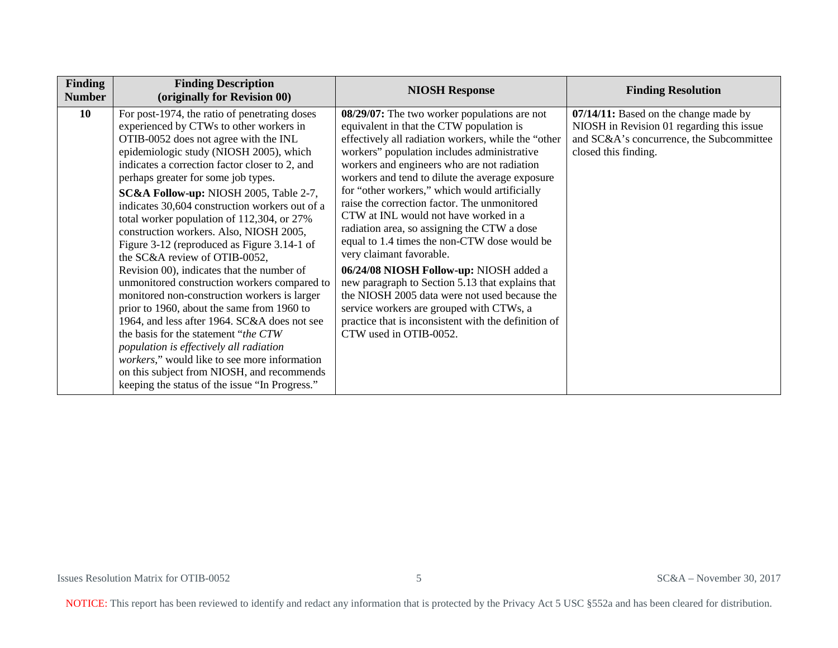| Finding<br><b>Number</b> | <b>Finding Description</b><br>(originally for Revision 00)                                                                                                                                                                                                                                                                                                                                                                                                                                                                                                                                                                                                                                                                                                                                                                                                                                                                                                                                                                        | <b>NIOSH Response</b>                                                                                                                                                                                                                                                                                                                                                                                                                                                                                                                                                                                                                                                                                                                                                                                                                               | <b>Finding Resolution</b>                                                                                                                              |
|--------------------------|-----------------------------------------------------------------------------------------------------------------------------------------------------------------------------------------------------------------------------------------------------------------------------------------------------------------------------------------------------------------------------------------------------------------------------------------------------------------------------------------------------------------------------------------------------------------------------------------------------------------------------------------------------------------------------------------------------------------------------------------------------------------------------------------------------------------------------------------------------------------------------------------------------------------------------------------------------------------------------------------------------------------------------------|-----------------------------------------------------------------------------------------------------------------------------------------------------------------------------------------------------------------------------------------------------------------------------------------------------------------------------------------------------------------------------------------------------------------------------------------------------------------------------------------------------------------------------------------------------------------------------------------------------------------------------------------------------------------------------------------------------------------------------------------------------------------------------------------------------------------------------------------------------|--------------------------------------------------------------------------------------------------------------------------------------------------------|
| 10                       | For post-1974, the ratio of penetrating doses<br>experienced by CTWs to other workers in<br>OTIB-0052 does not agree with the INL<br>epidemiologic study (NIOSH 2005), which<br>indicates a correction factor closer to 2, and<br>perhaps greater for some job types.<br>SC&A Follow-up: NIOSH 2005, Table 2-7,<br>indicates 30,604 construction workers out of a<br>total worker population of 112,304, or 27%<br>construction workers. Also, NIOSH 2005,<br>Figure 3-12 (reproduced as Figure 3.14-1 of<br>the SC&A review of OTIB-0052,<br>Revision 00), indicates that the number of<br>unmonitored construction workers compared to<br>monitored non-construction workers is larger<br>prior to 1960, about the same from 1960 to<br>1964, and less after 1964. SC&A does not see<br>the basis for the statement " <i>the CTW</i><br>population is effectively all radiation<br>workers," would like to see more information<br>on this subject from NIOSH, and recommends<br>keeping the status of the issue "In Progress." | 08/29/07: The two worker populations are not<br>equivalent in that the CTW population is<br>effectively all radiation workers, while the "other<br>workers" population includes administrative<br>workers and engineers who are not radiation<br>workers and tend to dilute the average exposure<br>for "other workers," which would artificially<br>raise the correction factor. The unmonitored<br>CTW at INL would not have worked in a<br>radiation area, so assigning the CTW a dose<br>equal to 1.4 times the non-CTW dose would be<br>very claimant favorable.<br>06/24/08 NIOSH Follow-up: NIOSH added a<br>new paragraph to Section 5.13 that explains that<br>the NIOSH 2005 data were not used because the<br>service workers are grouped with CTWs, a<br>practice that is inconsistent with the definition of<br>CTW used in OTIB-0052. | 07/14/11: Based on the change made by<br>NIOSH in Revision 01 regarding this issue<br>and SC&A's concurrence, the Subcommittee<br>closed this finding. |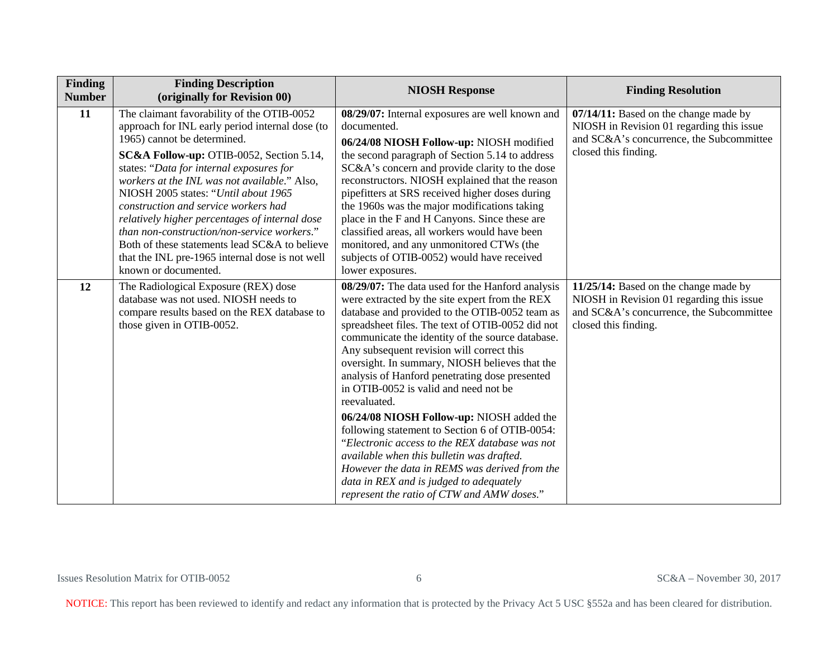| Finding<br><b>Number</b> | <b>Finding Description</b><br>(originally for Revision 00)                                                                                                                                                                                                                                                                                                                                                                                                                                                                                                                        | <b>NIOSH Response</b>                                                                                                                                                                                                                                                                                                                                                                                                                                                                                                                                                                                                                                                                                                                                                                                          | <b>Finding Resolution</b>                                                                                                                              |
|--------------------------|-----------------------------------------------------------------------------------------------------------------------------------------------------------------------------------------------------------------------------------------------------------------------------------------------------------------------------------------------------------------------------------------------------------------------------------------------------------------------------------------------------------------------------------------------------------------------------------|----------------------------------------------------------------------------------------------------------------------------------------------------------------------------------------------------------------------------------------------------------------------------------------------------------------------------------------------------------------------------------------------------------------------------------------------------------------------------------------------------------------------------------------------------------------------------------------------------------------------------------------------------------------------------------------------------------------------------------------------------------------------------------------------------------------|--------------------------------------------------------------------------------------------------------------------------------------------------------|
| 11                       | The claimant favorability of the OTIB-0052<br>approach for INL early period internal dose (to<br>1965) cannot be determined.<br>SC&A Follow-up: OTIB-0052, Section 5.14,<br>states: "Data for internal exposures for<br>workers at the INL was not available." Also,<br>NIOSH 2005 states: "Until about 1965<br>construction and service workers had<br>relatively higher percentages of internal dose<br>than non-construction/non-service workers."<br>Both of these statements lead SC&A to believe<br>that the INL pre-1965 internal dose is not well<br>known or documented. | 08/29/07: Internal exposures are well known and<br>documented.<br>06/24/08 NIOSH Follow-up: NIOSH modified<br>the second paragraph of Section 5.14 to address<br>SC&A's concern and provide clarity to the dose<br>reconstructors. NIOSH explained that the reason<br>pipefitters at SRS received higher doses during<br>the 1960s was the major modifications taking<br>place in the F and H Canyons. Since these are<br>classified areas, all workers would have been<br>monitored, and any unmonitored CTWs (the<br>subjects of OTIB-0052) would have received<br>lower exposures.                                                                                                                                                                                                                          | 07/14/11: Based on the change made by<br>NIOSH in Revision 01 regarding this issue<br>and SC&A's concurrence, the Subcommittee<br>closed this finding. |
| 12                       | The Radiological Exposure (REX) dose<br>database was not used. NIOSH needs to<br>compare results based on the REX database to<br>those given in OTIB-0052.                                                                                                                                                                                                                                                                                                                                                                                                                        | 08/29/07: The data used for the Hanford analysis<br>were extracted by the site expert from the REX<br>database and provided to the OTIB-0052 team as<br>spreadsheet files. The text of OTIB-0052 did not<br>communicate the identity of the source database.<br>Any subsequent revision will correct this<br>oversight. In summary, NIOSH believes that the<br>analysis of Hanford penetrating dose presented<br>in OTIB-0052 is valid and need not be<br>reevaluated.<br>06/24/08 NIOSH Follow-up: NIOSH added the<br>following statement to Section 6 of OTIB-0054:<br>"Electronic access to the REX database was not<br>available when this bulletin was drafted.<br>However the data in REMS was derived from the<br>data in REX and is judged to adequately<br>represent the ratio of CTW and AMW doses." | 11/25/14: Based on the change made by<br>NIOSH in Revision 01 regarding this issue<br>and SC&A's concurrence, the Subcommittee<br>closed this finding. |

Issues Resolution Matrix for OTIB-0052 6 SC&A – November 30, 2017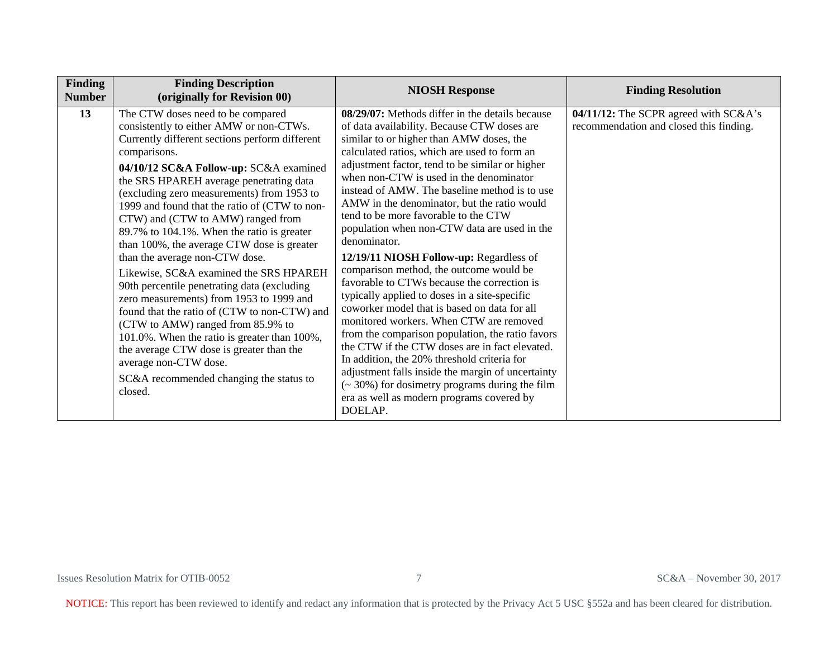| <b>Finding</b><br><b>Number</b> | <b>Finding Description</b><br>(originally for Revision 00)                                                                                                                                                                                                                                                                                                                                                                                                                                                                                                                                                                                                                                                                                                                                                                                                                                                 | <b>NIOSH Response</b>                                                                                                                                                                                                                                                                                                                                                                                                                                                                                                                                                                                                                                                                                                                                                                                                                                                                                                                                                                                                                                                                                        | <b>Finding Resolution</b>                                                        |
|---------------------------------|------------------------------------------------------------------------------------------------------------------------------------------------------------------------------------------------------------------------------------------------------------------------------------------------------------------------------------------------------------------------------------------------------------------------------------------------------------------------------------------------------------------------------------------------------------------------------------------------------------------------------------------------------------------------------------------------------------------------------------------------------------------------------------------------------------------------------------------------------------------------------------------------------------|--------------------------------------------------------------------------------------------------------------------------------------------------------------------------------------------------------------------------------------------------------------------------------------------------------------------------------------------------------------------------------------------------------------------------------------------------------------------------------------------------------------------------------------------------------------------------------------------------------------------------------------------------------------------------------------------------------------------------------------------------------------------------------------------------------------------------------------------------------------------------------------------------------------------------------------------------------------------------------------------------------------------------------------------------------------------------------------------------------------|----------------------------------------------------------------------------------|
| 13                              | The CTW doses need to be compared<br>consistently to either AMW or non-CTWs.<br>Currently different sections perform different<br>comparisons.<br>04/10/12 SC&A Follow-up: SC&A examined<br>the SRS HPAREH average penetrating data<br>(excluding zero measurements) from 1953 to<br>1999 and found that the ratio of (CTW to non-<br>CTW) and (CTW to AMW) ranged from<br>89.7% to 104.1%. When the ratio is greater<br>than 100%, the average CTW dose is greater<br>than the average non-CTW dose.<br>Likewise, SC&A examined the SRS HPAREH<br>90th percentile penetrating data (excluding<br>zero measurements) from 1953 to 1999 and<br>found that the ratio of (CTW to non-CTW) and<br>(CTW to AMW) ranged from 85.9% to<br>101.0%. When the ratio is greater than 100%,<br>the average CTW dose is greater than the<br>average non-CTW dose.<br>SC&A recommended changing the status to<br>closed. | 08/29/07: Methods differ in the details because<br>of data availability. Because CTW doses are<br>similar to or higher than AMW doses, the<br>calculated ratios, which are used to form an<br>adjustment factor, tend to be similar or higher<br>when non-CTW is used in the denominator<br>instead of AMW. The baseline method is to use<br>AMW in the denominator, but the ratio would<br>tend to be more favorable to the CTW<br>population when non-CTW data are used in the<br>denominator.<br>12/19/11 NIOSH Follow-up: Regardless of<br>comparison method, the outcome would be<br>favorable to CTWs because the correction is<br>typically applied to doses in a site-specific<br>coworker model that is based on data for all<br>monitored workers. When CTW are removed<br>from the comparison population, the ratio favors<br>the CTW if the CTW doses are in fact elevated.<br>In addition, the 20% threshold criteria for<br>adjustment falls inside the margin of uncertainty<br>$\approx$ 30%) for dosimetry programs during the film<br>era as well as modern programs covered by<br>DOELAP. | 04/11/12: The SCPR agreed with SC&A's<br>recommendation and closed this finding. |

Issues Resolution Matrix for OTIB-0052 7 SC&A – November 30, 2017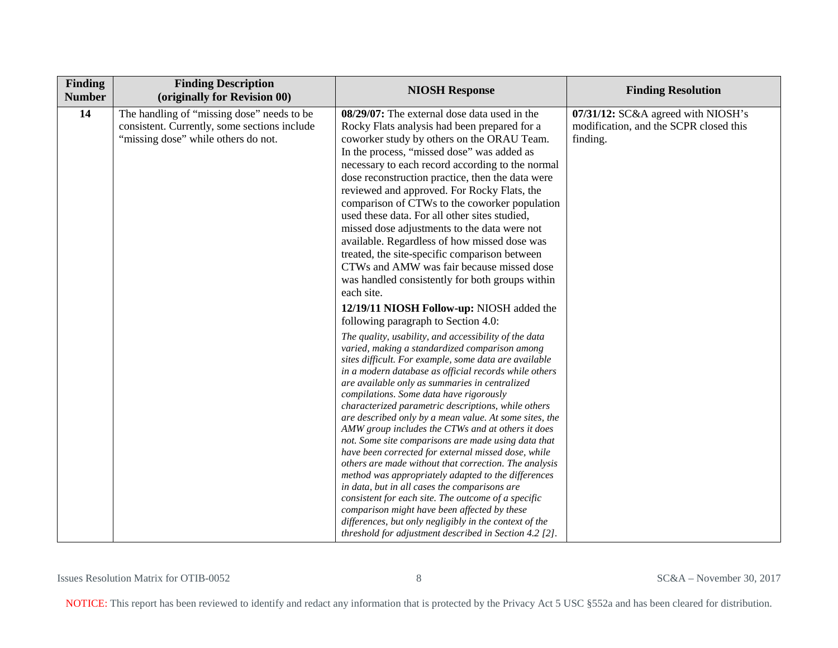| Finding<br><b>Number</b> | <b>Finding Description</b><br>(originally for Revision 00)                                                                        | <b>NIOSH Response</b>                                                                                                                                                                                                                                                                                                                                                                                                                                                                                                                                                                                                                                                                                                                                                                                                                                                                                                                                                                                                                                                                                                                                                                                                                                                                                                                                                                                                                                                                                                                                                               | <b>Finding Resolution</b>                                                                |
|--------------------------|-----------------------------------------------------------------------------------------------------------------------------------|-------------------------------------------------------------------------------------------------------------------------------------------------------------------------------------------------------------------------------------------------------------------------------------------------------------------------------------------------------------------------------------------------------------------------------------------------------------------------------------------------------------------------------------------------------------------------------------------------------------------------------------------------------------------------------------------------------------------------------------------------------------------------------------------------------------------------------------------------------------------------------------------------------------------------------------------------------------------------------------------------------------------------------------------------------------------------------------------------------------------------------------------------------------------------------------------------------------------------------------------------------------------------------------------------------------------------------------------------------------------------------------------------------------------------------------------------------------------------------------------------------------------------------------------------------------------------------------|------------------------------------------------------------------------------------------|
| 14                       | The handling of "missing dose" needs to be<br>consistent. Currently, some sections include<br>"missing dose" while others do not. | 08/29/07: The external dose data used in the<br>Rocky Flats analysis had been prepared for a<br>coworker study by others on the ORAU Team.<br>In the process, "missed dose" was added as<br>necessary to each record according to the normal<br>dose reconstruction practice, then the data were<br>reviewed and approved. For Rocky Flats, the<br>comparison of CTWs to the coworker population<br>used these data. For all other sites studied,<br>missed dose adjustments to the data were not<br>available. Regardless of how missed dose was<br>treated, the site-specific comparison between<br>CTWs and AMW was fair because missed dose<br>was handled consistently for both groups within<br>each site.<br>12/19/11 NIOSH Follow-up: NIOSH added the<br>following paragraph to Section 4.0:<br>The quality, usability, and accessibility of the data<br>varied, making a standardized comparison among<br>sites difficult. For example, some data are available<br>in a modern database as official records while others<br>are available only as summaries in centralized<br>compilations. Some data have rigorously<br>characterized parametric descriptions, while others<br>are described only by a mean value. At some sites, the<br>AMW group includes the CTWs and at others it does<br>not. Some site comparisons are made using data that<br>have been corrected for external missed dose, while<br>others are made without that correction. The analysis<br>method was appropriately adapted to the differences<br>in data, but in all cases the comparisons are | 07/31/12: SC&A agreed with NIOSH's<br>modification, and the SCPR closed this<br>finding. |
|                          |                                                                                                                                   | consistent for each site. The outcome of a specific<br>comparison might have been affected by these<br>differences, but only negligibly in the context of the<br>threshold for adjustment described in Section 4.2 [2].                                                                                                                                                                                                                                                                                                                                                                                                                                                                                                                                                                                                                                                                                                                                                                                                                                                                                                                                                                                                                                                                                                                                                                                                                                                                                                                                                             |                                                                                          |

Issues Resolution Matrix for OTIB-0052 8 SC&A – November 30, 2017

NOTICE: This report has been reviewed to identify and redact any information that is protected by the Privacy Act 5 USC §552a and has been cleared for distribution.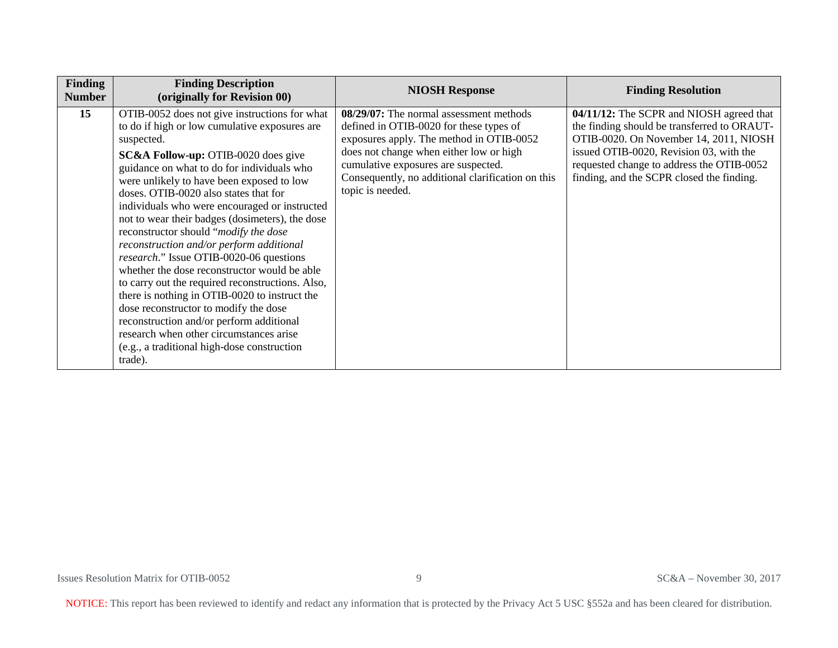| <b>Finding</b><br><b>Number</b> | <b>Finding Description</b><br>(originally for Revision 00)                                                                                                                                                                                                                                                                                                                                                                                                                                                                                                                                                                                                                                                                                                                                                                                                                            | <b>NIOSH Response</b>                                                                                                                                                                                                                                                                     | <b>Finding Resolution</b>                                                                                                                                                                                                                                              |
|---------------------------------|---------------------------------------------------------------------------------------------------------------------------------------------------------------------------------------------------------------------------------------------------------------------------------------------------------------------------------------------------------------------------------------------------------------------------------------------------------------------------------------------------------------------------------------------------------------------------------------------------------------------------------------------------------------------------------------------------------------------------------------------------------------------------------------------------------------------------------------------------------------------------------------|-------------------------------------------------------------------------------------------------------------------------------------------------------------------------------------------------------------------------------------------------------------------------------------------|------------------------------------------------------------------------------------------------------------------------------------------------------------------------------------------------------------------------------------------------------------------------|
| 15                              | OTIB-0052 does not give instructions for what<br>to do if high or low cumulative exposures are<br>suspected.<br><b>SC&amp;A Follow-up: OTIB-0020 does give</b><br>guidance on what to do for individuals who<br>were unlikely to have been exposed to low<br>doses. OTIB-0020 also states that for<br>individuals who were encouraged or instructed<br>not to wear their badges (dosimeters), the dose<br>reconstructor should "modify the dose<br>reconstruction and/or perform additional<br>research." Issue OTIB-0020-06 questions<br>whether the dose reconstructor would be able<br>to carry out the required reconstructions. Also,<br>there is nothing in OTIB-0020 to instruct the<br>dose reconstructor to modify the dose<br>reconstruction and/or perform additional<br>research when other circumstances arise<br>(e.g., a traditional high-dose construction<br>trade). | 08/29/07: The normal assessment methods<br>defined in OTIB-0020 for these types of<br>exposures apply. The method in OTIB-0052<br>does not change when either low or high<br>cumulative exposures are suspected.<br>Consequently, no additional clarification on this<br>topic is needed. | 04/11/12: The SCPR and NIOSH agreed that<br>the finding should be transferred to ORAUT-<br>OTIB-0020. On November 14, 2011, NIOSH<br>issued OTIB-0020, Revision 03, with the<br>requested change to address the OTIB-0052<br>finding, and the SCPR closed the finding. |